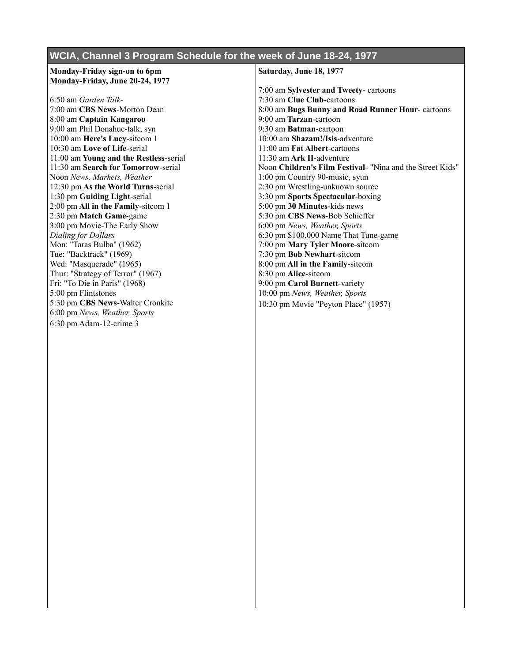## **WCIA, Channel 3 Program Schedule for the week of June 18-24, 1977**

## **Monday-Friday sign-on to 6pm Monday-Friday, June 20-24, 1977**

6:50 am *Garden Talk-*7:00 am **CBS News**-Morton Dean 8:00 am **Captain Kangaroo** 9:00 am Phil Donahue-talk, syn 10:00 am **Here's Lucy**-sitcom 1 10:30 am **Love of Life**-serial 11:00 am **Young and the Restless**-serial 11:30 am **Search for Tomorrow**-serial Noon *News, Markets, Weather* 12:30 pm **As the World Turns**-serial 1:30 pm **Guiding Light**-serial 2:00 pm **All in the Family**-sitcom 1 2:30 pm **Match Game**-game 3:00 pm Movie-The Early Show *Dialing for Dollars* Mon: "Taras Bulba" (1962) Tue: "Backtrack" (1969) Wed: "Masquerade" (1965) Thur: "Strategy of Terror" (1967) Fri: "To Die in Paris" (1968) 5:00 pm Flintstones 5:30 pm **CBS News**-Walter Cronkite 6:00 pm *News, Weather, Sports* 6:30 pm Adam-12-crime 3

## **Saturday, June 18, 1977**

7:00 am **Sylvester and Tweety**- cartoons 7:30 am **Clue Club**-cartoons 8:00 am **Bugs Bunny and Road Runner Hour**- cartoons 9:00 am **Tarzan**-cartoon 9:30 am **Batman**-cartoon 10:00 am **Shazam!/Isis**-adventure 11:00 am **Fat Albert**-cartoons 11:30 am **Ark II**-adventure Noon **Children's Film Festival**- "Nina and the Street Kids" 1:00 pm Country 90-music, syun 2:30 pm Wrestling-unknown source 3:30 pm **Sports Spectacular**-boxing 5:00 pm **30 Minutes**-kids news 5:30 pm **CBS News**-Bob Schieffer 6:00 pm *News, Weather, Sports* 6:30 pm \$100,000 Name That Tune-game 7:00 pm **Mary Tyler Moore**-sitcom 7:30 pm **Bob Newhart**-sitcom 8:00 pm **All in the Family**-sitcom 8:30 pm **Alice**-sitcom 9:00 pm **Carol Burnett**-variety 10:00 pm *News, Weather, Sports* 10:30 pm Movie "Peyton Place" (1957)